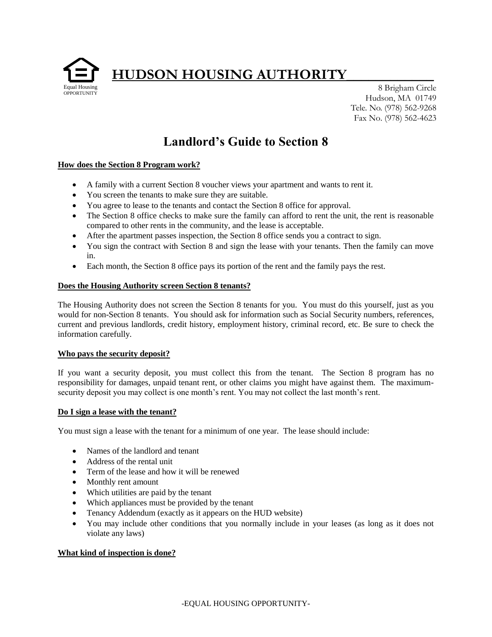**HUDSON HOUSING AUTHORITY\_\_\_\_\_\_\_\_\_\_\_\_** 



8 Brigham Circle Hudson, MA 01749 Tele. No. (978) 562-9268 Fax No. (978) 562-4623

# **Landlord's Guide to Section 8**

# **How does the Section 8 Program work?**

- A family with a current Section 8 voucher views your apartment and wants to rent it.
- You screen the tenants to make sure they are suitable.
- You agree to lease to the tenants and contact the Section 8 office for approval.
- The Section 8 office checks to make sure the family can afford to rent the unit, the rent is reasonable compared to other rents in the community, and the lease is acceptable.
- After the apartment passes inspection, the Section 8 office sends you a contract to sign.
- You sign the contract with Section 8 and sign the lease with your tenants. Then the family can move in.
- Each month, the Section 8 office pays its portion of the rent and the family pays the rest.

## **Does the Housing Authority screen Section 8 tenants?**

The Housing Authority does not screen the Section 8 tenants for you. You must do this yourself, just as you would for non-Section 8 tenants. You should ask for information such as Social Security numbers, references, current and previous landlords, credit history, employment history, criminal record, etc. Be sure to check the information carefully.

## **Who pays the security deposit?**

If you want a security deposit, you must collect this from the tenant. The Section 8 program has no responsibility for damages, unpaid tenant rent, or other claims you might have against them. The maximumsecurity deposit you may collect is one month's rent. You may not collect the last month's rent.

## **Do I sign a lease with the tenant?**

You must sign a lease with the tenant for a minimum of one year. The lease should include:

- Names of the landlord and tenant
- Address of the rental unit
- Term of the lease and how it will be renewed
- Monthly rent amount
- Which utilities are paid by the tenant
- Which appliances must be provided by the tenant
- Tenancy Addendum (exactly as it appears on the HUD website)
- You may include other conditions that you normally include in your leases (as long as it does not violate any laws)

# **What kind of inspection is done?**